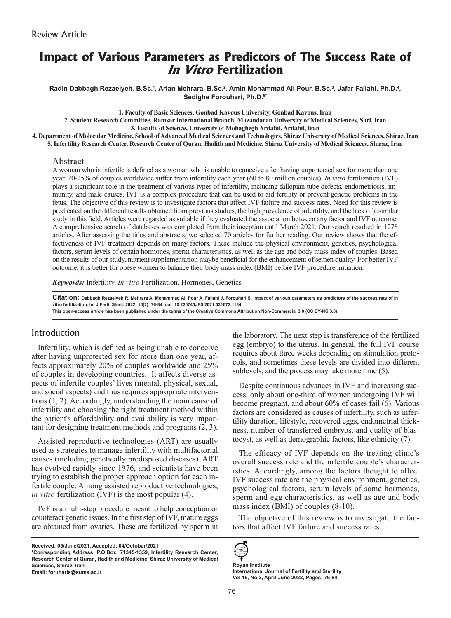# **Impact of Various Parameters as Predictors of The Success Rate of In Vitro Fertilization**

Radin Dabbagh Rezaeiyeh, B.Sc.<sup>1</sup>, Arian Mehrara, B.Sc.<sup>2</sup>, Amin Mohammad Ali Pour, B.Sc.<sup>3</sup>, Jafar Fallahi, Ph.D.<sup>4</sup>, **Sedighe Forouhari, Ph.D.5\***

**1. Faculty of Basic Sciences, Gonbad Kavous University, Gonbad Kavous, Iran 2. Student Research Committee, Ramsar International Branch, Mazandaran University of Medical Sciences, Sari, Iran 3. Faculty of Science, University of Mohaghegh Ardabil, Ardabil, Iran**

**4. Department of Molecular Medicine, School of Advanced Medical Sciences and Technologies, Shiraz University of Medical Sciences, Shiraz, Iran 5. Infertility Research Center, Research Center of Quran, Hadith and Medicine, Shiraz University of Medical Sciences, Shiraz, Iran**

#### Abstract

A woman who is infertile is defined as a woman who is unable to conceive after having unprotected sex for more than one year. 20-25% of couples worldwide suffer from infertility each year (60 to 80 million couples). *In vitro* fertilization (IVF) plays a significant role in the treatment of various types of infertility, including fallopian tube defects, endometriosis, immunity, and male causes. IVF is a complex procedure that can be used to aid fertility or prevent genetic problems in the fetus. The objective of this review is to investigate factors that affect IVF failure and success rates. Need for this review is predicated on the different results obtained from previous studies, the high prevalence of infertility, and the lack of a similar study in this field. Articles were regarded as suitable if they evaluated the association between any factor and IVF outcome. A comprehensive search of databases was completed from their inception until March 2021. Our search resulted in 1278 articles. After assessing the titles and abstracts, we selected 70 articles for further reading. Our review shows that the effectiveness of IVF treatment depends on many factors. These include the physical environment, genetics, psychological factors, serum levels of certain hormones, sperm characteristics, as well as the age and body mass index of couples. Based on the results of our study, nutrient supplementation maybe beneficial for the enhancement of semen quality. For better IVF outcome, it is better for obese women to balance their body mass index (BMI) before IVF procedure initiation.

*Keywords:* Infertility, *In vitro* Fertilization, Hormones, Genetics

**Citation: Dabbagh Rezaeiyeh R, Mehrara A, Mohammad Ali Pour A, Fallahi J, Forouhari S. Impact of various parameters as predictors of the success rate of in vitro fertilization. Int J Fertil Steril. 2022; 16(2): 76-84. doi: 10.22074/IJFS.2021.531672.1134.**

**This open-access article has been published under the terms of the Creative Commons Attribution Non-Commercial 3.0 (CC BY-NC 3.0).**

### Introduction

Infertility, which is defined as being unable to conceive after having unprotected sex for more than one year, affects approximately 20% of couples worldwide and 25% of couples in developing countries. It affects diverse aspects of infertile couples' lives (mental, physical, sexual, and social aspects) and thus requires appropriate interventions (1, 2). Accordingly, understanding the main cause of infertility and choosing the right treatment method within the patient's affordability and availability is very important for designing treatment methods and programs (2, 3).

Assisted reproductive technologies (ART) are usually used as strategies to manage infertility with multifactorial causes (including genetically predisposed diseases). ART has evolved rapidly since 1976, and scientists have been trying to establish the proper approach option for each infertile couple. Among assisted reproductive technologies, *in vitro* fertilization (IVF) is the most popular (4).

IVF is a multi-step procedure meant to help conception or counteract genetic issues. In the first step of IVF, mature eggs are obtained from ovaries. These are fertilized by sperm in the laboratory. The next step is transference of the fertilized egg (embryo) to the uterus. In general, the full IVF course requires about three weeks depending on stimulation protocols, and sometimes these levels are divided into different sublevels, and the process may take more time (5).

Despite continuous advances in IVF and increasing success, only about one-third of women undergoing IVF will become pregnant, and about 60% of cases fail (6). Various factors are considered as causes of infertility, such as infertility duration, lifestyle, recovered eggs, endometrial thickness, number of transferred embryos, and quality of blastocyst, as well as demographic factors, like ethnicity (7).

The efficacy of IVF depends on the treating clinic's overall success rate and the infertile couple's characteristics. Accordingly, among the factors thought to affect IVF success rate are the physical environment, genetics, psychological factors, serum levels of some hormones, sperm and egg characteristics, as well as age and body mass index (BMI) of couples (8-10).

The objective of this review is to investigate the factors that affect IVF failure and success rates.



**Royan Institute International Journal of Fertility and Sterility Vol 16, No 2, April-June 2022, Pages: 76-84**

**Received: 05/June/2021, Accepted: 04/October/2021**

**<sup>\*</sup>Corresponding Address: P.O.Box: 71345-1359, Infertility Research Center, Research Center of Quran, Hadith and Medicine, Shiraz University of Medical Sciences, Shiraz, Iran Email: foruharis@sums.ac.ir**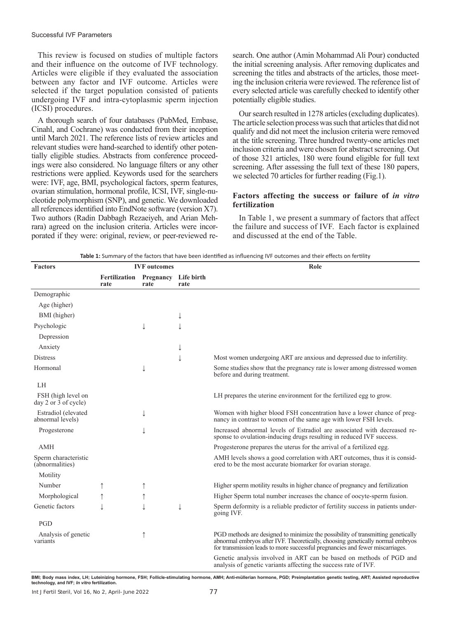This review is focused on studies of multiple factors and their influence on the outcome of IVF technology. Articles were eligible if they evaluated the association between any factor and IVF outcome. Articles were selected if the target population consisted of patients undergoing IVF and intra-cytoplasmic sperm injection (ICSI) procedures.

A thorough search of four databases (PubMed, Embase, Cinahl, and Cochrane) was conducted from their inception until March 2021. The reference lists of review articles and relevant studies were hand-searched to identify other potentially eligible studies. Abstracts from conference proceedings were also considered. No language filters or any other restrictions were applied. Keywords used for the searchers were: IVF, age, BMI, psychological factors, sperm features, ovarian stimulation, hormonal profile, ICSI, IVF, single-nucleotide polymorphism (SNP), and genetic. We downloaded all references identified into EndNote software (version X7). Two authors (Radin Dabbagh Rezaeiyeh, and Arian Mehrara) agreed on the inclusion criteria. Articles were incorporated if they were: original, review, or peer-reviewed research. One author (Amin Mohammad Ali Pour) conducted the initial screening analysis. After removing duplicates and screening the titles and abstracts of the articles, those meeting the inclusion criteria were reviewed. The reference list of every selected article was carefully checked to identify other potentially eligible studies.

Our search resulted in 1278 articles (excluding duplicates). The article selection process was such that articles that did not qualify and did not meet the inclusion criteria were removed at the title screening. Three hundred twenty-one articles met inclusion criteria and were chosen for abstract screening. Out of those 321 articles, 180 were found eligible for full text screening. After assessing the full text of these 180 papers, we selected 70 articles for further reading (Fig.1).

### **Factors affecting the success or failure of** *in vitro* **fertilization**

In Table 1, we present a summary of factors that affect the failure and success of IVF. Each factor is explained and discussed at the end of the Table.

| <b>Factors</b>                                          | <b>IVF</b> outcomes   |                   |                    | Role                                                                                                                                                                                                                                                |
|---------------------------------------------------------|-----------------------|-------------------|--------------------|-----------------------------------------------------------------------------------------------------------------------------------------------------------------------------------------------------------------------------------------------------|
|                                                         | Fertilization<br>rate | Pregnancy<br>rate | Life birth<br>rate |                                                                                                                                                                                                                                                     |
| Demographic                                             |                       |                   |                    |                                                                                                                                                                                                                                                     |
| Age (higher)                                            |                       |                   |                    |                                                                                                                                                                                                                                                     |
| BMI (higher)                                            |                       |                   | ↓                  |                                                                                                                                                                                                                                                     |
| Psychologic                                             |                       |                   | T                  |                                                                                                                                                                                                                                                     |
| Depression                                              |                       |                   |                    |                                                                                                                                                                                                                                                     |
| Anxiety                                                 |                       |                   | ↓                  |                                                                                                                                                                                                                                                     |
| <b>Distress</b>                                         |                       |                   | J                  | Most women undergoing ART are anxious and depressed due to infertility.                                                                                                                                                                             |
| Hormonal                                                |                       |                   |                    | Some studies show that the pregnancy rate is lower among distressed women<br>before and during treatment.                                                                                                                                           |
| LH                                                      |                       |                   |                    |                                                                                                                                                                                                                                                     |
| FSH (high level on<br>day 2 or $\overline{3}$ of cycle) |                       |                   |                    | LH prepares the uterine environment for the fertilized egg to grow.                                                                                                                                                                                 |
| Estradiol (elevated<br>abnormal levels)                 |                       |                   |                    | Women with higher blood FSH concentration have a lower chance of preg-<br>nancy in contrast to women of the same age with lower FSH levels.                                                                                                         |
| Progesterone                                            |                       |                   |                    | Increased abnormal levels of Estradiol are associated with decreased re-<br>sponse to ovulation-inducing drugs resulting in reduced IVF success.                                                                                                    |
| <b>AMH</b>                                              |                       |                   |                    | Progesterone prepares the uterus for the arrival of a fertilized egg.                                                                                                                                                                               |
| Sperm characteristic<br>(abnormalities)                 |                       |                   |                    | AMH levels shows a good correlation with ART outcomes, thus it is consid-<br>ered to be the most accurate biomarker for ovarian storage.                                                                                                            |
| Motility                                                |                       |                   |                    |                                                                                                                                                                                                                                                     |
| Number                                                  |                       |                   |                    | Higher sperm motility results in higher chance of pregnancy and fertilization                                                                                                                                                                       |
| Morphological                                           |                       |                   |                    | Higher Sperm total number increases the chance of oocyte-sperm fusion.                                                                                                                                                                              |
| Genetic factors                                         |                       |                   | J                  | Sperm deformity is a reliable predictor of fertility success in patients under-<br>going IVF.                                                                                                                                                       |
| PGD                                                     |                       |                   |                    |                                                                                                                                                                                                                                                     |
| Analysis of genetic<br>variants                         |                       | ↑                 |                    | PGD methods are designed to minimize the possibility of transmitting genetically<br>abnormal embryos after IVF. Theoretically, choosing genetically normal embryos<br>for transmission leads to more successful pregnancies and fewer miscarriages. |
|                                                         |                       |                   |                    | Genetic analysis involved in ART can be based on methods of PGD and<br>analysis of genetic variants affecting the success rate of IVF.                                                                                                              |

**BMI; Body mass index, LH; Luteinizing hormone, FSH; Follicle-stimulating hormone, AMH; Anti-müllerian hormone, PGD; Preimplantation genetic testing, ART; Assisted reproductive technology, and IVF;** *In vitro* **fertilization.**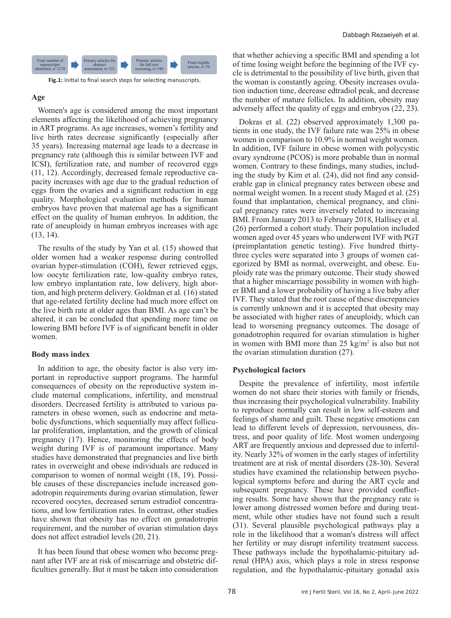

**Fig.1:** Initial to final search steps for selecting manuscripts.

### **Age**

Women's age is considered among the most important elements affecting the likelihood of achieving pregnancy in ART programs. As age increases, women's fertility and live birth rates decrease significantly (especially after 35 years). Increasing maternal age leads to a decrease in pregnancy rate (although this is similar between IVF and ICSI), fertilization rate, and number of recovered eggs (11, 12). Accordingly, decreased female reproductive capacity increases with age due to the gradual reduction of eggs from the ovaries and a significant reduction in egg quality. Morphological evaluation methods for human embryos have proven that maternal age has a significant effect on the quality of human embryos. In addition, the rate of aneuploidy in human embryos increases with age (13, 14).

The results of the study by Yan et al. (15) showed that older women had a weaker response during controlled ovarian hyper-stimulation (COH), fewer retrieved eggs, low oocyte fertilization rate, low-quality embryo rates, low embryo implantation rate, low delivery, high abortion, and high preterm delivery. Goldman et al. (16) stated that age-related fertility decline had much more effect on the live birth rate at older ages than BMI. As age can't be altered, it can be concluded that spending more time on lowering BMI before IVF is of significant benefit in older women.

# **Body mass index**

In addition to age, the obesity factor is also very important in reproductive support programs. The harmful consequences of obesity on the reproductive system include maternal complications, infertility, and menstrual disorders. Decreased fertility is attributed to various parameters in obese women, such as endocrine and metabolic dysfunctions, which sequentially may affect follicular proliferation, implantation, and the growth of clinical pregnancy (17). Hence, monitoring the effects of body weight during IVF is of paramount importance. Many studies have demonstrated that pregnancies and live birth rates in overweight and obese individuals are reduced in comparison to women of normal weight (18, 19). Possible causes of these discrepancies include increased gonadotropin requirements during ovarian stimulation, fewer recovered oocytes, decreased serum estradiol concentrations, and low fertilization rates. In contrast, other studies have shown that obesity has no effect on gonadotropin requirement, and the number of ovarian stimulation days does not affect estradiol levels (20, 21).

It has been found that obese women who become pregnant after IVF are at risk of miscarriage and obstetric difficulties generally. But it must be taken into consideration

that whether achieving a specific BMI and spending a lot of time losing weight before the beginning of the IVF cycle is detrimental to the possibility of live birth, given that the woman is constantly ageing. Obesity increases ovulation induction time, decrease edtradiol peak, and decrease the number of mature follicles. In addition, obesity may adversely affect the quality of eggs and embryos (22, 23).

Dokras et al. (22) observed approximately 1,300 patients in one study, the IVF failure rate was 25% in obese women in comparison to 10.9% in normal weight women. In addition, IVF failure in obese women with polycystic ovary syndrome (PCOS) is more probable than in normal women. Contrary to these findings, many studies, including the study by Kim et al. (24), did not find any considerable gap in clinical pregnancy rates between obese and normal weight women. In a recent study Maged et al. (25) found that implantation, chemical pregnancy, and clinical pregnancy rates were inversely related to increasing BMI. From January 2013 to February 2018, Hallisey et al. (26) performed a cohort study. Their population included women aged over 45 years who underwent IVF with PGT (preimplantation genetic testing). Five hundred thirtythree cycles were separated into 3 groups of women categorized by BMI as normal, overweight, and obese. Euploidy rate was the primary outcome. Their study showed that a higher miscarriage possibility in women with higher BMI and a lower probability of having a live baby after IVF. They stated that the root cause of these discrepancies is currently unknown and it is accepted that obesity may be associated with higher rates of aneuploidy, which can lead to worsening pregnancy outcomes. The dosage of gonadotrophin required for ovarian stimulation is higher in women with BMI more than  $25 \text{ kg/m}^2$  is also but not the ovarian stimulation duration (27).

# **Psychological factors**

Despite the prevalence of infertility, most infertile women do not share their stories with family or friends, thus increasing their psychological vulnerability. Inability to reproduce normally can result in low self-esteem and feelings of shame and guilt. These negative emotions can lead to different levels of depression, nervousness, distress, and poor quality of life. Most women undergoing ART are frequently anxious and depressed due to infertility. Nearly 32% of women in the early stages of infertility treatment are at risk of mental disorders (28-30). Several studies have examined the relationship between psychological symptoms before and during the ART cycle and subsequent pregnancy. These have provided conflicting results. Some have shown that the pregnancy rate is lower among distressed women before and during treatment, while other studies have not found such a result (31). Several plausible psychological pathways play a role in the likelihood that a woman's distress will affect her fertility or may disrupt infertility treatment success. These pathways include the hypothalamic-pituitary adrenal (HPA) axis, which plays a role in stress response regulation, and the hypothalamic-pituitary gonadal axis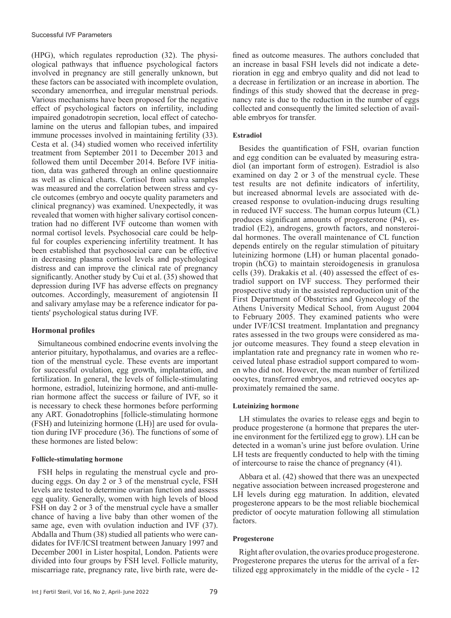(HPG), which regulates reproduction (32). The physiological pathways that influence psychological factors involved in pregnancy are still generally unknown, but these factors can be associated with incomplete ovulation, secondary amenorrhea, and irregular menstrual periods. Various mechanisms have been proposed for the negative effect of psychological factors on infertility, including impaired gonadotropin secretion, local effect of catecholamine on the uterus and fallopian tubes, and impaired immune processes involved in maintaining fertility (33). Cesta et al. (34) studied women who received infertility treatment from September 2011 to December 2013 and followed them until December 2014. Before IVF initiation, data was gathered through an online questionnaire as well as clinical charts. Cortisol from saliva samples was measured and the correlation between stress and cycle outcomes (embryo and oocyte quality parameters and clinical pregnancy) was examined. Unexpectedly, it was revealed that women with higher salivary cortisol concentration had no different IVF outcome than women with normal cortisol levels. Psychosocial care could be helpful for couples experiencing infertility treatment. It has been established that psychosocial care can be effective in decreasing plasma cortisol levels and psychological distress and can improve the clinical rate of pregnancy significantly. Another study by Cui et al. (35) showed that depression during IVF has adverse effects on pregnancy outcomes. Accordingly, measurement of angiotensin II and salivary amylase may be a reference indicator for patients' psychological status during IVF.

# **Hormonal profiles**

Simultaneous combined endocrine events involving the anterior pituitary, hypothalamus, and ovaries are a reflection of the menstrual cycle. These events are important for successful ovulation, egg growth, implantation, and fertilization. In general, the levels of follicle-stimulating hormone, estradiol, luteinizing hormone, and anti-mullerian hormone affect the success or failure of IVF, so it is necessary to check these hormones before performing any ART. Gonadotrophins [follicle-stimulating hormone (FSH) and luteinizing hormone (LH)] are used for ovulation during IVF procedure (36). The functions of some of these hormones are listed below:

#### **Follicle-stimulating hormone**

FSH helps in regulating the menstrual cycle and producing eggs. On day 2 or 3 of the menstrual cycle, FSH levels are tested to determine ovarian function and assess egg quality. Generally, women with high levels of blood FSH on day 2 or 3 of the menstrual cycle have a smaller chance of having a live baby than other women of the same age, even with ovulation induction and IVF (37). Abdalla and Thum (38) studied all patients who were candidates for IVF/ICSI treatment between January 1997 and December 2001 in Lister hospital, London. Patients were divided into four groups by FSH level. Follicle maturity, miscarriage rate, pregnancy rate, live birth rate, were de-

fined as outcome measures. The authors concluded that an increase in basal FSH levels did not indicate a deterioration in egg and embryo quality and did not lead to a decrease in fertilization or an increase in abortion. The findings of this study showed that the decrease in pregnancy rate is due to the reduction in the number of eggs collected and consequently the limited selection of available embryos for transfer.

### **Estradiol**

Besides the quantification of FSH, ovarian function and egg condition can be evaluated by measuring estradiol (an important form of estrogen). Estradiol is also examined on day 2 or 3 of the menstrual cycle. These test results are not definite indicators of infertility, but increased abnormal levels are associated with decreased response to ovulation-inducing drugs resulting in reduced IVF success. The human corpus luteum (CL) produces significant amounts of progesterone (P4), estradiol (E2), androgens, growth factors, and nonsteroidal hormones. The overall maintenance of CL function depends entirely on the regular stimulation of pituitary luteinizing hormone (LH) or human placental gonadotropin (hCG) to maintain steroidogenesis in granulosa cells (39). Drakakis et al. (40) assessed the effect of estradiol support on IVF success. They performed their prospective study in the assisted reproduction unit of the First Department of Obstetrics and Gynecology of the Athens University Medical School, from August 2004 to February 2005. They examined patients who were under IVF/ICSI treatment. Implantation and pregnancy rates assessed in the two groups were considered as major outcome measures. They found a steep elevation in implantation rate and pregnancy rate in women who received luteal phase estradiol support compared to women who did not. However, the mean number of fertilized oocytes, transferred embryos, and retrieved oocytes approximately remained the same.

#### **Luteinizing hormone**

LH stimulates the ovaries to release eggs and begin to produce progesterone (a hormone that prepares the uterine environment for the fertilized egg to grow). LH can be detected in a woman's urine just before ovulation. Urine LH tests are frequently conducted to help with the timing of intercourse to raise the chance of pregnancy (41).

Abbara et al. (42) showed that there was an unexpected negative association between increased progesterone and LH levels during egg maturation. In addition, elevated progesterone appears to be the most reliable biochemical predictor of oocyte maturation following all stimulation factors.

#### **Progesterone**

Right after ovulation, the ovaries produce progesterone. Progesterone prepares the uterus for the arrival of a fertilized egg approximately in the middle of the cycle - 12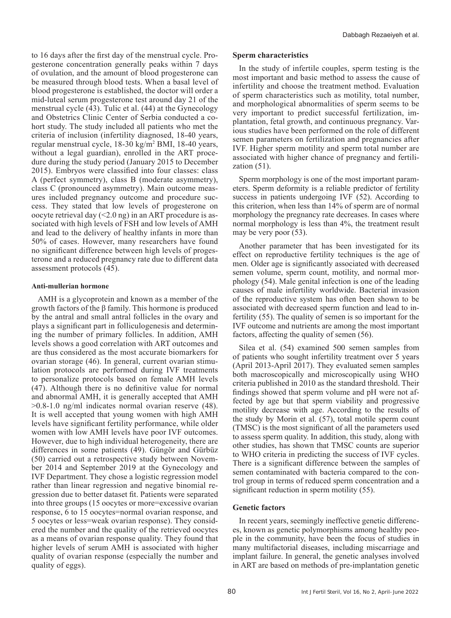to 16 days after the first day of the menstrual cycle. Progesterone concentration generally peaks within 7 days of ovulation, and the amount of blood progesterone can be measured through blood tests. When a basal level of blood progesterone is established, the doctor will order a mid-luteal serum progesterone test around day 21 of the menstrual cycle (43). Tulic et al. (44) at the Gynecology and Obstetrics Clinic Center of Serbia conducted a cohort study. The study included all patients who met the criteria of inclusion (infertility diagnosed, 18-40 years, regular menstrual cycle, 18-30 kg/m<sup>2</sup> BMI, 18-40 years, without a legal guardian), enrolled in the ART procedure during the study period (January 2015 to December 2015). Embryos were classified into four classes: class A (perfect symmetry), class B (moderate asymmetry), class C (pronounced asymmetry). Main outcome measures included pregnancy outcome and procedure success. They stated that low levels of progesterone on oocyte retrieval day (<2.0 ng) in an ART procedure is associated with high levels of FSH and low levels of AMH and lead to the delivery of healthy infants in more than 50% of cases. However, many researchers have found no significant difference between high levels of progesterone and a reduced pregnancy rate due to different data assessment protocols (45).

#### **Anti-mullerian hormone**

AMH is a glycoprotein and known as a member of the growth factors of the β family. This hormone is produced by the antral and small antral follicles in the ovary and plays a significant part in folliculogenesis and determining the number of primary follicles. In addition, AMH levels shows a good correlation with ART outcomes and are thus considered as the most accurate biomarkers for ovarian storage (46). In general, current ovarian stimulation protocols are performed during IVF treatments to personalize protocols based on female AMH levels (47). Although there is no definitive value for normal and abnormal AMH, it is generally accepted that AMH >0.8-1.0 ng/ml indicates normal ovarian reserve (48). It is well accepted that young women with high AMH levels have significant fertility performance, while older women with low AMH levels have poor IVF outcomes. However, due to high individual heterogeneity, there are differences in some patients (49). Güngör and Gürbüz (50) carried out a retrospective study between November 2014 and September 2019 at the Gynecology and IVF Department. They chose a logistic regression model rather than linear regression and negative binomial regression due to better dataset fit. Patients were separated into three groups (15 oocytes or more=excessive ovarian response, 6 to 15 oocytes=normal ovarian response, and 5 oocytes or less=weak ovarian response). They considered the number and the quality of the retrieved oocytes as a means of ovarian response quality. They found that higher levels of serum AMH is associated with higher quality of ovarian response (especially the number and quality of eggs).

#### **Sperm characteristics**

In the study of infertile couples, sperm testing is the most important and basic method to assess the cause of infertility and choose the treatment method. Evaluation of sperm characteristics such as motility, total number, and morphological abnormalities of sperm seems to be very important to predict successful fertilization, implantation, fetal growth, and continuous pregnancy. Various studies have been performed on the role of different semen parameters on fertilization and pregnancies after IVF. Higher sperm motility and sperm total number are associated with higher chance of pregnancy and fertilization (51).

Sperm morphology is one of the most important parameters. Sperm deformity is a reliable predictor of fertility success in patients undergoing IVF (52). According to this criterion, when less than 14% of sperm are of normal morphology the pregnancy rate decreases. In cases where normal morphology is less than 4%, the treatment result may be very poor (53).

Another parameter that has been investigated for its effect on reproductive fertility techniques is the age of men. Older age is significantly associated with decreased semen volume, sperm count, motility, and normal morphology (54). Male genital infection is one of the leading causes of male infertility worldwide. Bacterial invasion of the reproductive system has often been shown to be associated with decreased sperm function and lead to infertility (55). The quality of semen is so important for the IVF outcome and nutrients are among the most important factors, affecting the quality of semen (56).

Silea et al. (54) examined 500 semen samples from of patients who sought infertility treatment over 5 years (April 2013-April 2017). They evaluated semen samples both macroscopically and microscopically using WHO criteria published in 2010 as the standard threshold. Their findings showed that sperm volume and pH were not affected by age but that sperm viability and progressive motility decrease with age. According to the results of the study by Morin et al. (57), total motile sperm count (TMSC) is the most significant of all the parameters used to assess sperm quality. In addition, this study, along with other studies, has shown that TMSC counts are superior to WHO criteria in predicting the success of IVF cycles. There is a significant difference between the samples of semen contaminated with bacteria compared to the control group in terms of reduced sperm concentration and a significant reduction in sperm motility (55).

### **Genetic factors**

In recent years, seemingly ineffective genetic differences, known as genetic polymorphisms among healthy people in the community, have been the focus of studies in many multifactorial diseases, including miscarriage and implant failure. In general, the genetic analyses involved in ART are based on methods of pre-implantation genetic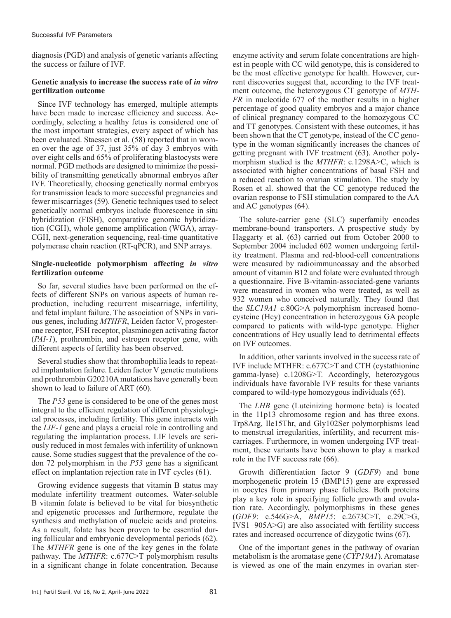diagnosis (PGD) and analysis of genetic variants affecting the success or failure of IVF.

### **Genetic analysis to increase the success rate of** *in vitro*  **gertilization outcome**

Since IVF technology has emerged, multiple attempts have been made to increase efficiency and success. Accordingly, selecting a healthy fetus is considered one of the most important strategies, every aspect of which has been evaluated. Staessen et al. (58) reported that in women over the age of 37, just 35% of day 3 embryos with over eight cells and 65% of proliferating blastocysts were normal. PGD methods are designed to minimize the possibility of transmitting genetically abnormal embryos after IVF. Theoretically, choosing genetically normal embryos for transmission leads to more successful pregnancies and fewer miscarriages (59). Genetic techniques used to select genetically normal embryos include fluorescence in situ hybridization (FISH), comparative genomic hybridization (CGH), whole genome amplification (WGA), array-CGH, next-generation sequencing, real-time quantitative polymerase chain reaction (RT-qPCR), and SNP arrays.

### **Single-nucleotide polymorphism affecting** *in vitro* **fertilization outcome**

So far, several studies have been performed on the effects of different SNPs on various aspects of human reproduction, including recurrent miscarriage, infertility, and fetal implant failure. The association of SNPs in various genes, including *MTHFR*, Leiden factor V, progesterone receptor, FSH receptor, plasminogen activating factor (*PAI-1*), prothrombin, and estrogen receptor gene, with different aspects of fertility has been observed.

Several studies show that thrombophilia leads to repeated implantation failure. Leiden factor V genetic mutations and prothrombin G20210A mutations have generally been shown to lead to failure of ART (60).

The *P53* gene is considered to be one of the genes most integral to the efficient regulation of different physiological processes, including fertility. This gene interacts with the *LIF-1* gene and plays a crucial role in controlling and regulating the implantation process. LIF levels are seriously reduced in most females with infertility of unknown cause. Some studies suggest that the prevalence of the codon 72 polymorphism in the *P53* gene has a significant effect on implantation rejection rate in IVF cycles (61).

Growing evidence suggests that vitamin B status may modulate infertility treatment outcomes. Water-soluble B vitamin folate is believed to be vital for biosynthetic and epigenetic processes and furthermore, regulate the synthesis and methylation of nucleic acids and proteins. As a result, folate has been proven to be essential during follicular and embryonic developmental periods (62). The *MTHFR* gene is one of the key genes in the folate pathway. The *MTHFR*: c.677C>T polymorphism results in a significant change in folate concentration. Because

enzyme activity and serum folate concentrations are highest in people with CC wild genotype, this is considered to be the most effective genotype for health. However, current discoveries suggest that, according to the IVF treatment outcome, the heterozygous CT genotype of *MTH-FR* in nucleotide 677 of the mother results in a higher percentage of good quality embryos and a major chance of clinical pregnancy compared to the homozygous CC and TT genotypes. Consistent with these outcomes, it has been shown that the CT genotype, instead of the CC genotype in the woman significantly increases the chances of getting pregnant with IVF treatment (63). Another polymorphism studied is the *MTHFR*: c.1298A>C, which is associated with higher concentrations of basal FSH and a reduced reaction to ovarian stimulation. The study by Rosen et al. showed that the CC genotype reduced the ovarian response to FSH stimulation compared to the AA and AC genotypes (64).

The solute-carrier gene (SLC) superfamily encodes membrane-bound transporters. A prospective study by Haggarty et al. (63) carried out from October 2000 to September 2004 included 602 women undergoing fertility treatment. Plasma and red-blood-cell concentrations were measured by radioimmunoassay and the absorbed amount of vitamin B12 and folate were evaluated through a questionnaire. Five B-vitamin-associated-gene variants were measured in women who were treated, as well as 932 women who conceived naturally. They found that the *SLC19A1* c.80G>A polymorphism increased homocysteine (Hcy) concentration in heterozygous GA people compared to patients with wild-type genotype. Higher concentrations of Hcy usually lead to detrimental effects on IVF outcomes.

In addition, other variants involved in the success rate of IVF include MTHFR: c.677C>T and CTH (cystathionine gamma-lyase) c.1208G>T. Accordingly, heterozygous individuals have favorable IVF results for these variants compared to wild-type homozygous individuals (65).

The *LHB* gene (Luteinizing hormone beta) is located in the 11p13 chromosome region and has three exons. Trp8Arg, Ile15Thr, and Gly102Ser polymorphisms lead to menstrual irregularities, infertility, and recurrent miscarriages. Furthermore, in women undergoing IVF treatment, these variants have been shown to play a marked role in the IVF success rate (66).

Growth differentiation factor 9 (*GDF9*) and bone morphogenetic protein 15 (BMP15) gene are expressed in oocytes from primary phase follicles. Both proteins play a key role in specifying follicle growth and ovulation rate. Accordingly, polymorphisms in these genes (*GDF9*: c.546G>A, *BMP15*: c.2673C>T, c.29C>G, IVS1+905A>G) are also associated with fertility success rates and increased occurrence of dizygotic twins (67).

One of the important genes in the pathway of ovarian metabolism is the aromatase gene (*CYP19A1*). Aromatase is viewed as one of the main enzymes in ovarian ster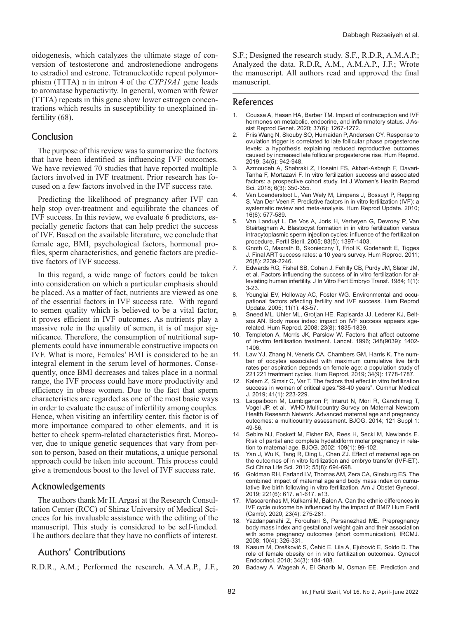oidogenesis, which catalyzes the ultimate stage of conversion of testosterone and androstenedione androgens to estradiol and estrone. Tetranucleotide repeat polymorphism (TTTA) n in intron 4 of the *CYP19A1* gene leads to aromatase hyperactivity. In general, women with fewer (TTTA) repeats in this gene show lower estrogen concentrations which results in susceptibility to unexplained infertility (68).

# Conclusion

The purpose of this review was to summarize the factors that have been identified as influencing IVF outcomes. We have reviewed 70 studies that have reported multiple factors involved in IVF treatment. Prior research has focused on a few factors involved in the IVF success rate.

Predicting the likelihood of pregnancy after IVF can help stop over-treatment and equilibrate the chances of IVF success. In this review, we evaluate 6 predictors, especially genetic factors that can help predict the success of IVF. Based on the available literature, we conclude that female age, BMI, psychological factors, hormonal profiles, sperm characteristics, and genetic factors are predictive factors of IVF success.

In this regard, a wide range of factors could be taken into consideration on which a particular emphasis should be placed. As a matter of fact, nutrients are viewed as one of the essential factors in IVF success rate. With regard to semen quality which is believed to be a vital factor, it proves efficient in IVF outcomes. As nutrients play a massive role in the quality of semen, it is of major significance. Therefore, the consumption of nutritional supplements could have innumerable constructive impacts on IVF. What is more, Females' BMI is considered to be an integral element in the serum level of hormones. Consequently, once BMI decreases and takes place in a normal range, the IVF process could have more productivity and efficiency in obese women. Due to the fact that sperm characteristics are regarded as one of the most basic ways in order to evaluate the cause of infertility among couples. Hence, when visiting an infertility center, this factor is of more importance compared to other elements, and it is better to check sperm-related characteristics first. Moreover, due to unique genetic sequences that vary from person to person, based on their mutations, a unique personal approach could be taken into account. This process could give a tremendous boost to the level of IVF success rate.

### Acknowledgements

The authors thank Mr H. Argasi at the Research Consultation Center (RCC) of Shiraz University of Medical Sciences for his invaluable assistance with the editing of the manuscript. This study is considered to be self-funded. The authors declare that they have no conflicts of interest.

# Authors' Contributions

R.D.R., A.M.; Performed the research. A.M.A.P., J.F.,

S.F.; Designed the research study. S.F., R.D.R, A.M.A.P.; Analyzed the data. R.D.R, A.M., A.M.A.P., J.F.; Wrote the manuscript. All authors read and approved the final manuscript.

### References

- 1. Coussa A, Hasan HA, Barber TM. Impact of contraception and IVF hormones on metabolic, endocrine, and inflammatory status. J Assist Reprod Genet. 2020; 37(6): 1267-1272.
- 2. Friis Wang N, Skouby SO, Humaidan P, Andersen CY. Response to ovulation trigger is correlated to late follicular phase progesterone levels: a hypothesis explaining reduced reproductive outcomes caused by increased late follicular progesterone rise. Hum Reprod. 2019; 34(5): 942-948.
- 3. Azmoudeh A, Shahraki Z, Hoseini FS, Akbari-Asbagh F, Davari-Tanha F, Mortazavi F. In vitro fertilization success and associated factors: a prospective cohort study. Int J Women's Health Reprod Sci. 2018; 6(3): 350-355.
- 4. Van Loendersloot L, Van Wely M, Limpens J, Bossuyt P, Repping S, Van Der Veen F. Predictive factors in in vitro fertilization (IVF): a systematic review and meta-analysis. Hum Reprod Update. 2010; 16(6): 577-589.
- 5. Van Landuyt L, De Vos A, Joris H, Verheyen G, Devroey P, Van Steirteghem A. Blastocyst formation in in vitro fertilization versus intracytoplasmic sperm injection cycles: influence of the fertilization procedure. Fertil Steril. 2005; 83(5): 1397-1403.
- 6. Gnoth C, Maxrath B, Skonieczny T, Friol K, Godehardt E, Tigges J. Final ART success rates: a 10 years survey. Hum Reprod. 2011; 26(8): 2239-2246.
- 7. Edwards RG, Fishel SB, Cohen J, Fehilly CB, Purdy JM, Slater JM, et al. Factors influencing the success of in vitro fertilization for alleviating human infertility. J In Vitro Fert Embryo Transf. 1984; 1(1): 3-23.
- Younglai EV, Holloway AC, Foster WG. Environmental and occupational factors affecting fertility and IVF success. Hum Reprod Update. 2005; 11(1): 43-57.
- 9. Sneed ML, Uhler ML, Grotjan HE, Rapisarda JJ, Lederer KJ, Beltsos AN. Body mass index: impact on IVF success appears agerelated. Hum Reprod. 2008; 23(8): 1835-1839.
- 10. Templeton A, Morris JK, Parslow W. Factors that affect outcome of in-vitro fertilisation treatment. Lancet. 1996; 348(9039): 1402- 1406.
- 11. Law YJ, Zhang N, Venetis CA, Chambers GM, Harris K. The number of oocytes associated with maximum cumulative live birth rates per aspiration depends on female age: a population study of 221221 treatment cycles. Hum Reprod. 2019; 34(9): 1778-1787.
- 12. Kalem Z, Simsir C, Var T. The factors that effect in vitro fertilization success in women of critical ages:"38-40 years". Cumhur Medical J. 2019; 41(1): 223-229.
- 13. Laopaiboon M, Lumbiganon P, Intarut N, Mori R, Ganchimeg T, Vogel JP, et al. WHO Multicountry Survey on Maternal Newborn Health Research Network. Advanced maternal age and pregnancy outcomes: a multicountry assessment. BJOG. 2014; 121 Suppl 1: 49-56.
- 14. Sebire NJ, Foskett M, Fisher RA, Rees H, Seckl M, Newlands E. Risk of partial and complete hydatidiform molar pregnancy in relation to maternal age. BJOG. 2002; 109(1): 99-102.
- 15. Yan J, Wu K, Tang R, Ding L, Chen ZJ. Effect of maternal age on the outcomes of in vitro fertilization and embryo transfer (IVF-ET). Sci China Life Sci. 2012; 55(8): 694-698.
- 16. Goldman RH, Farland LV, Thomas AM, Zera CA, Ginsburg ES. The combined impact of maternal age and body mass index on cumulative live birth following in vitro fertilization. Am J Obstet Gynecol. 2019; 221(6): 617. e1-617. e13.
- 17. Mascarenhas M, Kulkarni M, Balen A. Can the ethnic differences in IVF cycle outcome be influenced by the impact of BMI? Hum Fertil (Camb). 2020; 23(4): 275-281.
- 18. Yazdanpanahi Z, Forouhari S, Parsanezhad ME. Prepregnancy body mass index and gestational weight gain and their association with some pregnancy outcomes (short communication). IRCMJ. 2008; 10(4): 326-331.
- 19. Kasum M, Orešković S, Čehić E, Lila A, Ejubović E, Soldo D. The role of female obesity on in vitro fertilization outcomes. Gynecol Endocrinol. 2018; 34(3): 184-188.
- 20. Badawy A, Wageah A, El Gharib M, Osman EE. Prediction and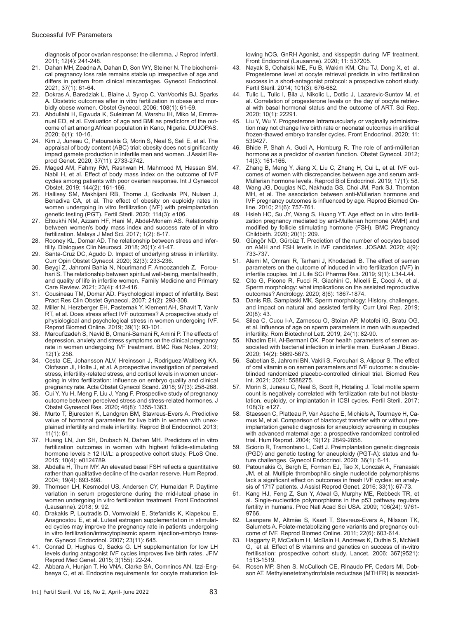diagnosis of poor ovarian response: the dilemma. J Reprod Infertil. 2011; 12(4): 241-248.

- 21. Dahan MH, Zeadna A, Dahan D, Son WY, Steiner N. The biochemical pregnancy loss rate remains stable up irrespective of age and differs in pattern from clinical miscarriages. Gynecol Endocrinol. 2021; 37(1): 61-64.
- 22. Dokras A, Baredziak L, Blaine J, Syrop C, VanVoorhis BJ, Sparks A. Obstetric outcomes after in vitro fertilization in obese and morbidly obese women. Obstet Gynecol. 2006; 108(1): 61-69.
- 23. Abdullahi H, Egwuda K, Suleiman M, Warshu IH, Miko M, Emmanuel ED, et al. Evaluation of age and BMI as predictors of the outcome of art among African population in Kano, Nigeria. DUJOPAS. 2020; 6(1): 10-16.
- 24. Kim J, Juneau C, Patounakis G, Morin S, Neal S, Seli E, et al. The appraisal of body content (ABC) trial: obesity does not significantly impact gamete production in infertile men and women. J Assist Reprod Genet. 2020; 37(11): 2733-2742.
- 25. Maged AM, Fahmy RM, Rashwan H, Mahmood M, Hassan SM, Nabil H, et al. Effect of body mass index on the outcome of IVF cycles among patients with poor ovarian response. Int J Gynaecol Obstet. 2019; 144(2): 161-166.
- 26. Hallisey SM, Makhijani RB, Thorne J, Godiwala PN, Nulsen J, Benadiva CA, et al. The effect of obesity on euploidy rates in women undergoing in vitro fertilization (IVF) with preimplantation genetic testing (PGT). Fertil Steril. 2020; 114(3): e106.
- 27. Eltoukhi NM, Azzam HF, Hani M, Abdel-Monem AS. Relationship between women's body mass index and success rate of in vitro fertilization. Malays J Med Sci. 2017; 1(2): 8-17.
- 28. Rooney KL, Domar AD. The relationship between stress and infertility. Dialogues Clin Neurosci. 2018; 20(1): 41-47.
- 29. Santa-Cruz DC, Agudo D. Impact of underlying stress in infertility. Curr Opin Obstet Gynecol. 2020; 32(3): 233-236.
- 30. Beygi Z, Jahromi Bahia N, Nourimand F, Amoozandeh Z, Forouhari S. The relationship between spiritual well-being, mental health, and quality of life in infertile women. Family Medicine and Primary Care Review. 2021; 23(4): 412-416.
- 31. Cousineau TM, Domar AD. Psychological impact of infertility. Best Pract Res Clin Obstet Gynaecol. 2007; 21(2): 293-308.
- 32. Miller N, Herzberger EH, Pasternak Y, Klement AH, Shavit T, Yaniv RT, et al. Does stress affect IVF outcomes? A prospective study of physiological and psychological stress in women undergoing IVF. Reprod Biomed Online. 2019; 39(1): 93-101.
- Maroufizadeh S, Navid B, Omani-Samani R, Amini P. The effects of depression, anxiety and stress symptoms on the clinical pregnancy rate in women undergoing IVF treatment. BMC Res Notes. 2019; 12(1): 256.
- Cesta CE, Johansson ALV, Hreinsson J, Rodriguez-Wallberg KA, Olofsson JI, Holte J, et al. A prospective investigation of perceived stress, infertility-related stress, and cortisol levels in women undergoing in vitro fertilization: influence on embryo quality and clinical pregnancy rate. Acta Obstet Gynecol Scand. 2018; 97(3): 258-268.
- 35. Cui Y, Yu H, Meng F, Liu J, Yang F. Prospective study of pregnancy outcome between perceived stress and stress-related hormones. J Obstet Gynaecol Res. 2020; 46(8): 1355-1363.
- 36. Murto T, Bjuresten K, Landgren BM, Stavreus-Evers A. Predictive value of hormonal parameters for live birth in women with unexplained infertility and male infertility. Reprod Biol Endocrinol. 2013; 11(1): 61.
- 37. Huang LN, Jun SH, Drubach N, Dahan MH. Predictors of in vitro fertilization outcomes in women with highest follicle-stimulating hormone levels ≥ 12 IU/L: a prospective cohort study. PLoS One. 2015; 10(4): e0124789.
- 38. Abdalla H, Thum MY. An elevated basal FSH reflects a quantitative rather than qualitative decline of the ovarian reserve. Hum Reprod. 2004; 19(4): 893-898.
- 39. Thomsen LH, Kesmodel US, Andersen CY, Humaidan P. Daytime variation in serum progesterone during the mid-luteal phase in women undergoing in vitro fertilization treatment. Front Endocrinol (Lausanne). 2018; 9: 92.
- 40. Drakakis P, Loutradis D, Vomvolaki E, Stefanidis K, Kiapekou E, Anagnostou E, et al. Luteal estrogen supplementation in stimulated cycles may improve the pregnancy rate in patients undergoing in vitro fertilization/intracytoplasmic sperm injection-embryo transfer. Gynecol Endocrinol. 2007; 23(11): 645.
- 41. Conrad D, Hughes G, Sacks G. LH supplementation for low LH levels during antagonist IVF cycles improves live birth rates. JFIV Reprod Med Genet. 2015; 3(155): 22-24.
- 42. Abbara A, Hunjan T, Ho VNA, Clarke SA, Comninos AN, Izzi-Engbeaya C, et al. Endocrine requirements for oocyte maturation fol-

lowing hCG, GnRH Agonist, and kisspeptin during IVF treatment. Front Endocrinol (Lausanne). 2020; 11: 537205.

- 43. Nayak S, Ochalski ME, Fu B, Wakim KM, Chu TJ, Dong X, et al. Progesterone level at oocyte retrieval predicts in vitro fertilization success in a short-antagonist protocol: a prospective cohort study. Fertil Steril. 2014; 101(3): 676-682.
- 44. Tulic L, Tulic I, Bila J, Nikolic L, Dotlic J, Lazarevic-Suntov M, et al. Correlation of progesterone levels on the day of oocyte retrieval with basal hormonal status and the outcome of ART. Sci Rep. 2020; 10(1): 22291.
- 45. Liu Y, Wu Y. Progesterone Intramuscularly or vaginally administration may not change live birth rate or neonatal outcomes in artificial frozen-thawed embryo transfer cycles. Front Endocrinol. 2020; 11: 539427.
- 46. Bhide P, Shah A, Gudi A, Homburg R. The role of anti-müllerian hormone as a predictor of ovarian function. Obstet Gynecol. 2012; 14(3): 161-166.
- 47. Zhang B, Meng Y, Jiang X, Liu C, Zhang H, Cui L, et al. IVF outcomes of women with discrepancies between age and serum anti-Müllerian hormone levels. Reprod Biol Endocrinol. 2019; 17(1): 58.
- 48. Wang JG, Douglas NC, Nakhuda GS, Choi JM, Park SJ, Thornton MH, et al. The association between anti-Müllerian hormone and IVF pregnancy outcomes is influenced by age. Reprod Biomed Online. 2010; 21(6): 757-761.
- 49. Hsieh HC, Su JY, Wang S, Huang YT. Age effect on in vitro fertilization pregnancy mediated by anti-Mullerian hormone (AMH) and modified by follicle stimulating hormone (FSH). BMC Pregnancy Childbirth. 2020; 20(1): 209.
- 50. Güngör ND, Gürbüz T. Prediction of the number of oocytes based on AMH and FSH levels in IVF candidates. JOSAM. 2020; 4(9): 733-737.
- 51. Alemi M, Omrani R, Tarhani J, Khodadadi B. The effect of semen parameters on the outcome of induced in vitro fertilization (IVF) in infertile couples. Int J Life SCi Pharma Res. 2019; 9(1): L34-L44.
- 52. Cito G, Picone R, Fucci R, Giachini C, Micelli E, Cocci A, et al. Sperm morphology: what implications on the assisted reproductive outcomes? Andrology. 2020; 8(6): 1867-1874.
- 53. Danis RB, Samplaski MK. Sperm morphology: History, challenges, and impact on natural and assisted fertility. Curr Urol Rep. 2019; 20(8): 43.
- 54. Silea C, Cucu I-A, Zarnescu O, Stoian AP, Motofei IG, Bratu OG, et al. Influence of age on sperm parameters in men with suspected infertility. Rom Biotechnol Lett. 2019; 24(1): 82-90.
- 55. Khadim EH, Al-Bermani OK. Poor health parameters of semen associated with bacterial infection in infertile men. EurAsian J Biosci. 2020; 14(2): 5669-5673.
- 56. Sabetian S, Jahromi BN, Vakili S, Forouhari S, Alipour S. The effect of oral vitamin e on semen parameters and IVF outcome: a doubleblinded randomized placebo-controlled clinical trial. Biomed Res Int. 2021; 2021: 5588275.
- 57. Morin S, Juneau C, Neal S, Scott R, Hotaling J. Total motile sperm count is negatively correlated with fertilization rate but not blastulation, euploidy, or implantation in ICSI cycles. Fertil Steril. 2017; 108(3): e127.
- Staessen C, Platteau P, Van Assche E, Michiels A, Tournaye H, Camus M, et al. Comparison of blastocyst transfer with or without preimplantation genetic diagnosis for aneuploidy screening in couples with advanced maternal age: a prospective randomized controlled trial. Hum Reprod. 2004; 19(12): 2849-2858.
- 59. Sciorio R, Tramontano L, Catt J. Preimplantation genetic diagnosis (PGD) and genetic testing for aneuploidy (PGT-A): status and future challenges. Gynecol Endocrinol. 2020; 36(1): 6-11.
- 60. Patounakis G, Bergh E, Forman EJ, Tao X, Lonczak A, Franasiak JM, et al. Multiple thrombophilic single nucleotide polymorphisms lack a significant effect on outcomes in fresh IVF cycles: an analysis of 1717 patients. J Assist Reprod Genet. 2016; 33(1): 67-73.
- 61. Kang HJ, Feng Z, Sun Y, Atwal G, Murphy ME, Rebbeck TR, et al. Single-nucleotide polymorphisms in the p53 pathway regulate fertility in humans. Proc Natl Acad Sci USA. 2009; 106(24): 9761- 9766.
- 62. Laanpere M, Altmäe S, Kaart T, Stavreus-Evers A, Nilsson TK, Salumets A. Folate-metabolizing gene variants and pregnancy outcome of IVF. Reprod Biomed Online. 2011; 22(6): 603-614.
- 63. Haggarty P, McCallum H, McBain H, Andrews K, Duthie S, McNeill G, et al. Effect of B vitamins and genetics on success of in-vitro fertilisation: prospective cohort study. Lancet. 2006; 367(9521): 1513-1519.
- Rosen MP, Shen S, McCulloch CE, Rinaudo PF, Cedars MI, Dobson AT. Methylenetetrahydrofolate reductase (MTHFR) is associat-